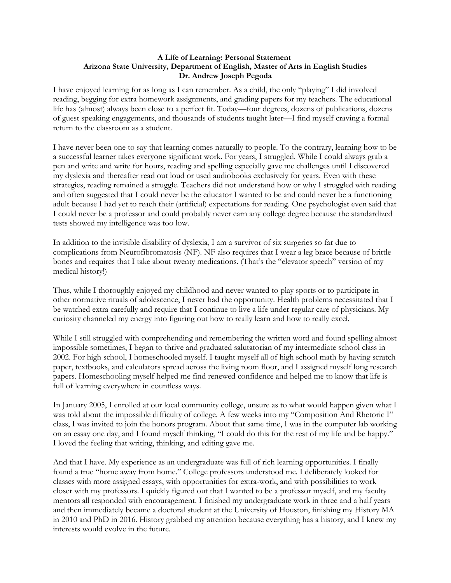## **A Life of Learning: Personal Statement Arizona State University, Department of English, Master of Arts in English Studies Dr. Andrew Joseph Pegoda**

I have enjoyed learning for as long as I can remember. As a child, the only "playing" I did involved reading, begging for extra homework assignments, and grading papers for my teachers. The educational life has (almost) always been close to a perfect fit. Today—four degrees, dozens of publications, dozens of guest speaking engagements, and thousands of students taught later—I find myself craving a formal return to the classroom as a student.

I have never been one to say that learning comes naturally to people. To the contrary, learning how to be a successful learner takes everyone significant work. For years, I struggled. While I could always grab a pen and write and write for hours, reading and spelling especially gave me challenges until I discovered my dyslexia and thereafter read out loud or used audiobooks exclusively for years. Even with these strategies, reading remained a struggle. Teachers did not understand how or why I struggled with reading and often suggested that I could never be the educator I wanted to be and could never be a functioning adult because I had yet to reach their (artificial) expectations for reading. One psychologist even said that I could never be a professor and could probably never earn any college degree because the standardized tests showed my intelligence was too low.

In addition to the invisible disability of dyslexia, I am a survivor of six surgeries so far due to complications from Neurofibromatosis (NF). NF also requires that I wear a leg brace because of brittle bones and requires that I take about twenty medications. (That's the "elevator speech" version of my medical history!)

Thus, while I thoroughly enjoyed my childhood and never wanted to play sports or to participate in other normative rituals of adolescence, I never had the opportunity. Health problems necessitated that I be watched extra carefully and require that I continue to live a life under regular care of physicians. My curiosity channeled my energy into figuring out how to really learn and how to really excel.

While I still struggled with comprehending and remembering the written word and found spelling almost impossible sometimes, I began to thrive and graduated salutatorian of my intermediate school class in 2002. For high school, I homeschooled myself. I taught myself all of high school math by having scratch paper, textbooks, and calculators spread across the living room floor, and I assigned myself long research papers. Homeschooling myself helped me find renewed confidence and helped me to know that life is full of learning everywhere in countless ways.

In January 2005, I enrolled at our local community college, unsure as to what would happen given what I was told about the impossible difficulty of college. A few weeks into my "Composition And Rhetoric I" class, I was invited to join the honors program. About that same time, I was in the computer lab working on an essay one day, and I found myself thinking, "I could do this for the rest of my life and be happy." I loved the feeling that writing, thinking, and editing gave me.

And that I have. My experience as an undergraduate was full of rich learning opportunities. I finally found a true "home away from home." College professors understood me. I deliberately looked for classes with more assigned essays, with opportunities for extra-work, and with possibilities to work closer with my professors. I quickly figured out that I wanted to be a professor myself, and my faculty mentors all responded with encouragement. I finished my undergraduate work in three and a half years and then immediately became a doctoral student at the University of Houston, finishing my History MA in 2010 and PhD in 2016. History grabbed my attention because everything has a history, and I knew my interests would evolve in the future.